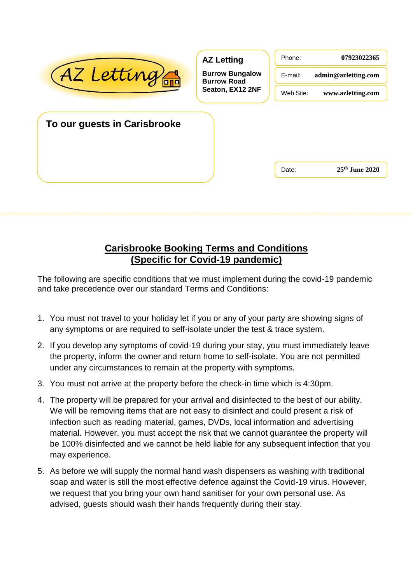| AZ Letting                   | <b>AZ Letting</b><br><b>Burrow Bungalow</b><br><b>Burrow Road</b><br>Seaton, EX12 2NF | Phone:<br>E-mail:<br>Web Site: | 07923022365<br>admin@azletting.com<br>www.azletting.com |
|------------------------------|---------------------------------------------------------------------------------------|--------------------------------|---------------------------------------------------------|
| To our guests in Carisbrooke |                                                                                       |                                |                                                         |
|                              |                                                                                       | Date:                          | $25th$ June 2020                                        |

## **Carisbrooke Booking Terms and Conditions (Specific for Covid-19 pandemic)**

The following are specific conditions that we must implement during the covid-19 pandemic and take precedence over our standard Terms and Conditions:

- 1. You must not travel to your holiday let if you or any of your party are showing signs of any symptoms or are required to self-isolate under the test & trace system.
- 2. If you develop any symptoms of covid-19 during your stay, you must immediately leave the property, inform the owner and return home to self-isolate. You are not permitted under any circumstances to remain at the property with symptoms.
- 3. You must not arrive at the property before the check-in time which is 4:30pm.
- 4. The property will be prepared for your arrival and disinfected to the best of our ability. We will be removing items that are not easy to disinfect and could present a risk of infection such as reading material, games, DVDs, local information and advertising material. However, you must accept the risk that we cannot guarantee the property will be 100% disinfected and we cannot be held liable for any subsequent infection that you may experience.
- 5. As before we will supply the normal hand wash dispensers as washing with traditional soap and water is still the most effective defence against the Covid-19 virus. However, we request that you bring your own hand sanitiser for your own personal use. As advised, guests should wash their hands frequently during their stay.